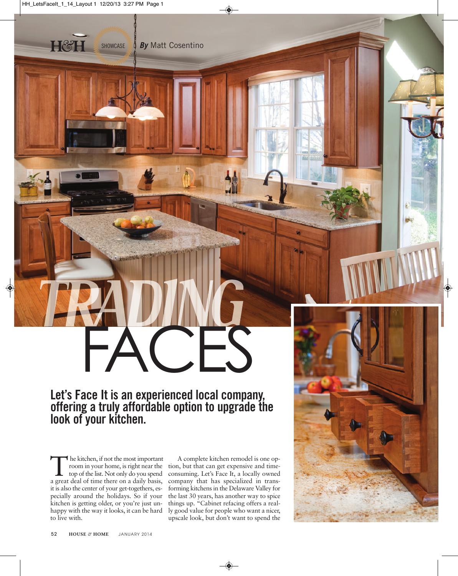SHOWCASE

◈

## **Let's Face It is an experienced local company, offering a truly affordable option to upgrade the look of your kitchen. FACES**

*By* Matt Cosentino

◈

The kitchen, if not the most important<br>room in your home, is right near the<br>top of the list. Not only do you spend<br>a great deal of time there on a daily basis room in your home, is right near the a great deal of time there on a daily basis, it is also the center of your get-togethers, especially around the holidays. So if your kitchen is getting older, or you're just unhappy with the way it looks, it can be hard to live with.

A complete kitchen remodel is one option, but that can get expensive and timeconsuming. Let's Face It, a locally owned company that has specialized in transforming kitchens in the Delaware Valley for the last 30 years, has another way to spice things up. "Cabinet refacing offers a really good value for people who want a nicer, upscale look, but don't want to spend the